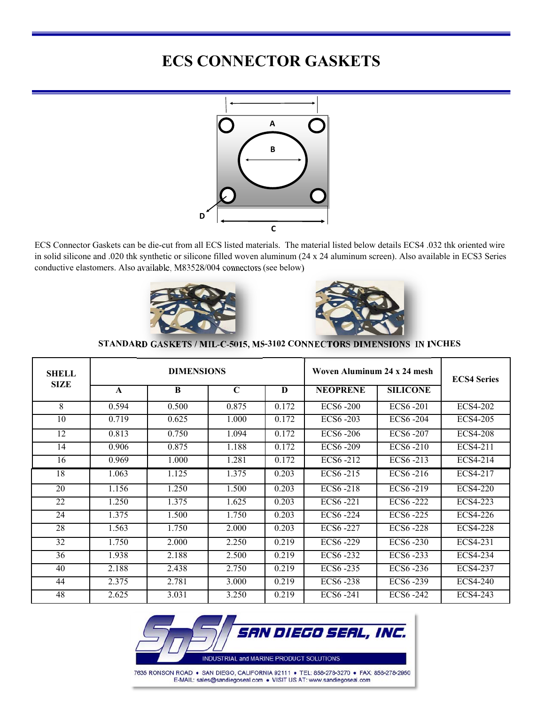# **ECS CONNECTOR GASKETS**



ECS Connector Gaskets can be die-cut from all ECS listed materials. The material listed below details ECS4 .032 thk oriented wire in solid silicone and .020 thk synthetic or silicone filled woven aluminum (24 x 24 aluminum screen). Also available in ECS3 Series conductive elastomers. Also available, M83528/004 connectors (see below)





|  | STANDARD GASKETS / MIL-C-5015, MS-3102 CONNECTORS DIMENSIONS IN INCHES |  |
|--|------------------------------------------------------------------------|--|
|--|------------------------------------------------------------------------|--|

| SHELL       |              | <b>DIMENSIONS</b> |             |          | Woven Aluminum 24 x 24 mesh | <b>ECS4 Series</b>      |                 |  |
|-------------|--------------|-------------------|-------------|----------|-----------------------------|-------------------------|-----------------|--|
| <b>SIZE</b> | $\mathbf{A}$ | <sup>B</sup>      | $\mathbf C$ | $\bf{D}$ | <b>NEOPRENE</b>             | <b>SILICONE</b>         |                 |  |
| 8           | 0.594        | 0.500             | 0.875       | 0.172    | <b>ECS6-200</b>             | ECS6-201                | ECS4-202        |  |
| 10          | 0.719        | 0.625             | 1.000       | 0.172    | ECS6-203                    | ECS6-204                | ECS4-205        |  |
| 12          | 0.813        | 0.750             | 1.094       | 0.172    | ECS6-206                    | ECS6-207                | <b>ECS4-208</b> |  |
| 14          | 0.906        | 0.875             | 1.188       | 0.172    | ECS6-209                    | ECS6-210                | ECS4-211        |  |
| 16          | 0.969        | 1.000             | 1.281       | 0.172    | ECS6-212                    | ECS6-213                | ECS4-214        |  |
| 18          | 1.063        | 1.125             | 1.375       | 0.203    | ECS6-215                    | $\overline{EC}$ S6 -216 | ECS4-217        |  |
| 20          | 1.156        | 1.250             | 1.500       | 0.203    | ECS6-218                    | ECS6-219                | ECS4-220        |  |
| 22          | 1.250        | 1.375             | 1.625       | 0.203    | ECS6-221                    | $\overline{EC}$ S6 -222 | ECS4-223        |  |
| 24          | 1.375        | 1.500             | 1.750       | 0.203    | ECS6-224                    | ECS6-225                | ECS4-226        |  |
| 28          | 1.563        | 1.750             | 2.000       | 0.203    | ECS6-227                    | ECS6-228                | ECS4-228        |  |
| 32          | 1.750        | 2.000             | 2.250       | 0.219    | ECS6-229                    | ECS6-230                | ECS4-231        |  |
| 36          | 1.938        | 2.188             | 2.500       | 0.219    | ECS6-232                    | ECS6-233                | ECS4-234        |  |
| 40          | 2.188        | 2.438             | 2.750       | 0.219    | ECS6-235                    | ECS6-236                | ECS4-237        |  |
| 44          | 2.375        | 2.781             | 3.000       | 0.219    | ECS6-238                    | ECS6-239                | ECS4-240        |  |
| 48          | 2.625        | 3.031             | 3.250       | 0.219    | ECS6-241                    | ECS6-242                | ECS4-243        |  |

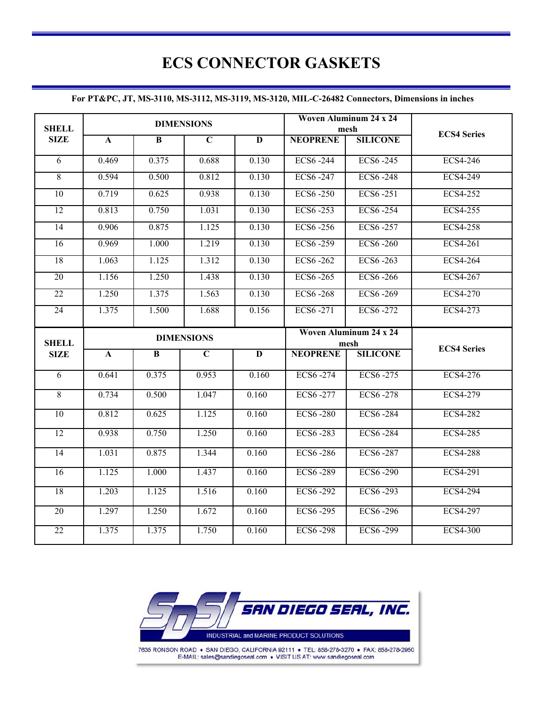# **ECS CONNECTOR GASKETS**

#### **For PT&PC, JT, MS-3110, MS-3112, MS-3119, MS-3120, MIL-C-26482 Connectors, Dimensions in inches**

| <b>SHELL</b>                |                   |                | <b>DIMENSIONS</b> |                         |                 | Woven Aluminum 24 x 24<br>mesh |                    |
|-----------------------------|-------------------|----------------|-------------------|-------------------------|-----------------|--------------------------------|--------------------|
| <b>SIZE</b>                 | $\mathbf{A}$      | $\overline{B}$ | $\overline{C}$    | $\overline{\mathbf{D}}$ | <b>NEOPRENE</b> | <b>SILICONE</b>                | <b>ECS4 Series</b> |
| $\overline{6}$              | 0.469             | 0.375          | 0.688             | 0.130                   | ECS6-244        | ECS6-245                       | <b>ECS4-246</b>    |
| $\overline{8}$              | 0.594             | 0.500          | 0.812             | 0.130                   | ECS6-247        | <b>ECS6-248</b>                | <b>ECS4-249</b>    |
| 10                          | 0.719             | 0.625          | 0.938             | 0.130                   | <b>ECS6-250</b> | ECS6-251                       | <b>ECS4-252</b>    |
| 12                          | 0.813             | 0.750          | 1.031             | 0.130                   | ECS6-253        | ECS6-254                       | <b>ECS4-255</b>    |
| 14                          | 0.906             | 0.875          | 1.125             | 0.130                   | ECS6-256        | ECS6-257                       | <b>ECS4-258</b>    |
| 16                          | 0.969             | 1.000          | 1.219             | 0.130                   | <b>ECS6-259</b> | <b>ECS6-260</b>                | ECS4-261           |
| 18                          | 1.063             | 1.125          | 1.312             | 0.130                   | <b>ECS6-262</b> | ECS6-263                       | <b>ECS4-264</b>    |
| 20                          | 1.156             | 1.250          | 1.438             | 0.130                   | ECS6-265        | ECS6-266                       | ECS4-267           |
| 22                          | 1.250             | 1.375          | 1.563             | 0.130                   | <b>ECS6-268</b> | <b>ECS6-269</b>                | <b>ECS4-270</b>    |
| $\overline{24}$             | 1.375             | 1.500          | 1.688             | 0.156                   | ECS6-271        | ECS6-272                       | <b>ECS4-273</b>    |
|                             | <b>DIMENSIONS</b> |                |                   |                         |                 |                                |                    |
|                             |                   |                |                   |                         |                 | Woven Aluminum 24 x 24         |                    |
| <b>SHELL</b><br><b>SIZE</b> | $\mathbf A$       | $\overline{B}$ | $\overline{C}$    | $\overline{\mathbf{D}}$ | <b>NEOPRENE</b> | mesh<br><b>SILICONE</b>        | <b>ECS4 Series</b> |
| $\overline{6}$              | 0.641             | 0.375          | 0.953             | 0.160                   | ECS6-274        | ECS6-275                       | <b>ECS4-276</b>    |
| $\overline{8}$              | 0.734             | 0.500          | 1.047             | 0.160                   | ECS6-277        | <b>ECS6-278</b>                | <b>ECS4-279</b>    |
| $\overline{10}$             | 0.812             | 0.625          | 1.125             | 0.160                   | <b>ECS6-280</b> | <b>ECS6-284</b>                | <b>ECS4-282</b>    |
| 12                          | 0.938             | 0.750          | 1.250             | 0.160                   | ECS6-283        | <b>ECS6-284</b>                | <b>ECS4-285</b>    |
| 14                          | 1.031             | 0.875          | 1.344             | 0.160                   | <b>ECS6-286</b> | <b>ECS6-287</b>                | <b>ECS4-288</b>    |
| 16                          | 1.125             | 1.000          | 1.437             | 0.160                   | <b>ECS6-289</b> | <b>ECS6-290</b>                | ECS4-291           |
| 18                          | 1.203             | 1.125          | 1.516             | 0.160                   | <b>ECS6-292</b> | ECS6-293                       | <b>ECS4-294</b>    |
| $\overline{20}$             | 1.297             | 1.250          | 1.672             | 0.160                   | <b>ECS6-295</b> | <b>ECS6-296</b>                | <b>ECS4-297</b>    |



E-MAIL: sales@sandiegoseal.com . VISIT US AT: www.sandiegoseal.com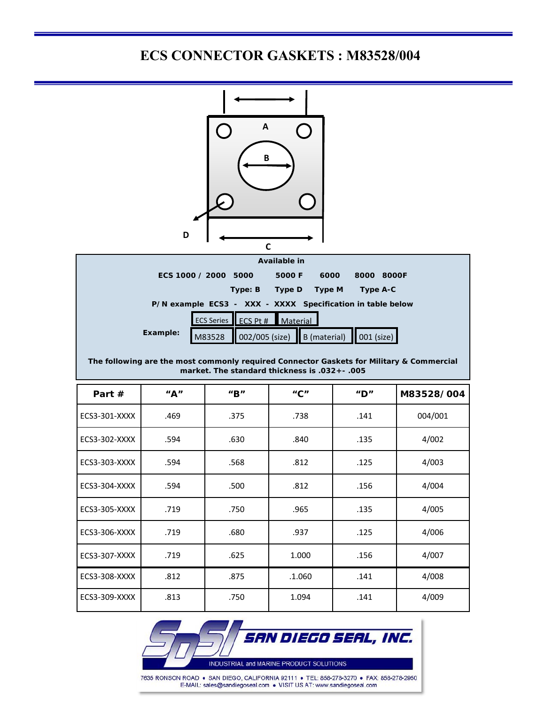## **ECS CONNECTOR GASKETS : M83528/004**



Ī

| Available in                                                                                |                      |         |                 |        |                                                            |  |  |  |
|---------------------------------------------------------------------------------------------|----------------------|---------|-----------------|--------|------------------------------------------------------------|--|--|--|
|                                                                                             | ECS 1000 / 2000 5000 |         | 5000 F          | 6000   | 8000<br>8000F                                              |  |  |  |
|                                                                                             |                      | Type: B | Type D          | Type M | Type A-C                                                   |  |  |  |
|                                                                                             |                      |         |                 |        | P/N example ECS3 - XXX - XXXX Specification in table below |  |  |  |
|                                                                                             | ECS Series ECS Pt #  |         | <b>Material</b> |        |                                                            |  |  |  |
| Example:                                                                                    | M83528               |         |                 |        | 002/005 (size)   B (material)   001 (size)                 |  |  |  |
| The fellowing and the meat comments negotiaed Connection Cooletic for Militams 0. Commented |                      |         |                 |        |                                                            |  |  |  |

#### **The following are the most commonly required Connector Gaskets for Military & Commercial market. The standard thickness is .032+- .005**

| Part $#$      | "A"  | $^{\prime\prime}$ B $^{\prime\prime}$ | $^{\prime\prime}$ C $^{\prime\prime}$ | $^{\prime\prime}$ D" | M83528/004 |
|---------------|------|---------------------------------------|---------------------------------------|----------------------|------------|
| ECS3-301-XXXX | .469 | .375                                  | .738                                  | .141                 | 004/001    |
| ECS3-302-XXXX | .594 | .630                                  | .840                                  | .135                 | 4/002      |
| ECS3-303-XXXX | .594 | .568                                  | .812                                  | .125                 | 4/003      |
| ECS3-304-XXXX | .594 | .500                                  | .812                                  | .156                 | 4/004      |
| ECS3-305-XXXX | .719 | .750                                  | .965                                  | .135                 | 4/005      |
| ECS3-306-XXXX | .719 | .680                                  | .937                                  | .125                 | 4/006      |
| ECS3-307-XXXX | .719 | .625                                  | 1.000                                 | .156                 | 4/007      |
| ECS3-308-XXXX | .812 | .875                                  | .1.060                                | .141                 | 4/008      |
| ECS3-309-XXXX | .813 | .750                                  | 1.094                                 | .141                 | 4/009      |



7635 RONSON ROAD . SAN DIEGO, CALIFORNIA 92111 . TEL: 858-278-3270 . FAX: 858-278-2950 E-MAIL: sales@sandiegoseal.com . VISIT US AT: www.sandiegoseal.com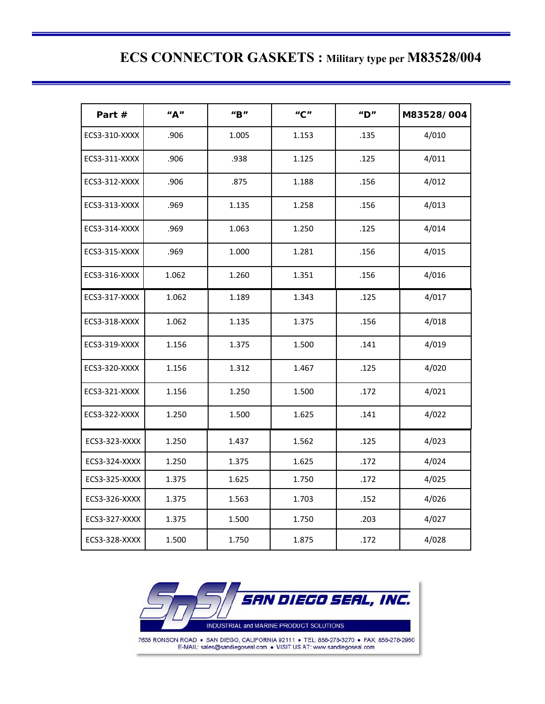## **ECS CONNECTOR GASKETS : Military type per M83528/004**

Ξ

| Part #               | ''A'' | $^{\prime\prime}$ B $^{\prime\prime}$ | $^{\prime\prime}$ C $^{\prime\prime}$ | $^{\prime\prime}$ D" | M83528/004 |
|----------------------|-------|---------------------------------------|---------------------------------------|----------------------|------------|
| ECS3-310-XXXX        | .906  | 1.005                                 | 1.153                                 | .135                 | 4/010      |
| ECS3-311-XXXX        | .906  | .938                                  | 1.125                                 | .125                 | 4/011      |
| ECS3-312-XXXX        | .906  | .875                                  | 1.188                                 | .156                 | 4/012      |
| ECS3-313-XXXX        | .969  | 1.135                                 | 1.258                                 | .156                 | 4/013      |
| ECS3-314-XXXX        | .969  | 1.063                                 | 1.250                                 | .125                 | 4/014      |
| ECS3-315-XXXX        | .969  | 1.000                                 | 1.281                                 | .156                 | 4/015      |
| ECS3-316-XXXX        | 1.062 | 1.260                                 | 1.351                                 | .156                 | 4/016      |
| ECS3-317-XXXX        | 1.062 | 1.189                                 | 1.343                                 | .125                 | 4/017      |
| ECS3-318-XXXX        | 1.062 | 1.135                                 | 1.375                                 | .156                 | 4/018      |
| ECS3-319-XXXX        | 1.156 | 1.375                                 | 1.500                                 | .141                 | 4/019      |
| ECS3-320-XXXX        | 1.156 | 1.312                                 | 1.467                                 | .125                 | 4/020      |
| ECS3-321-XXXX        | 1.156 | 1.250                                 | 1.500                                 | .172                 | 4/021      |
| <b>ECS3-322-XXXX</b> | 1.250 | 1.500                                 | 1.625                                 | .141                 | 4/022      |
| ECS3-323-XXXX        | 1.250 | 1.437                                 | 1.562                                 | .125                 | 4/023      |
| ECS3-324-XXXX        | 1.250 | 1.375                                 | 1.625                                 | .172                 | 4/024      |
| ECS3-325-XXXX        | 1.375 | 1.625                                 | 1.750                                 | .172                 | 4/025      |
| ECS3-326-XXXX        | 1.375 | 1.563                                 | 1.703                                 | .152                 | 4/026      |
| ECS3-327-XXXX        | 1.375 | 1.500                                 | 1.750                                 | .203                 | 4/027      |
| ECS3-328-XXXX        | 1.500 | 1.750                                 | 1.875                                 | .172                 | 4/028      |